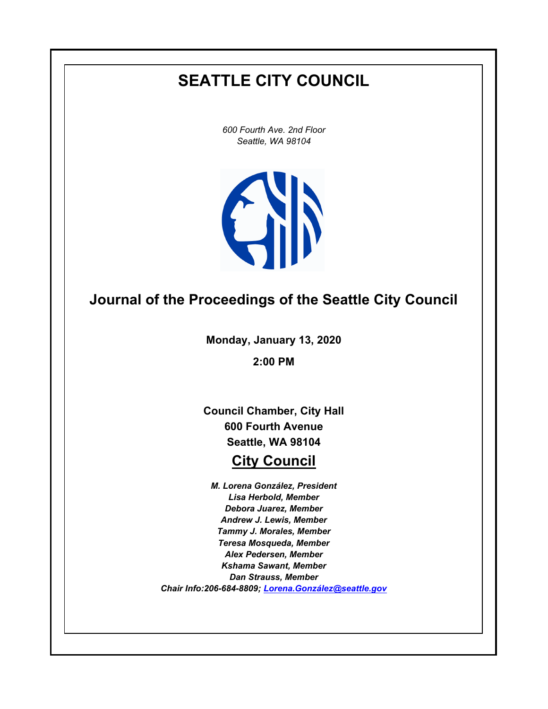# **SEATTLE CITY COUNCIL**

*600 Fourth Ave. 2nd Floor Seattle, WA 98104*



## **Journal of the Proceedings of the Seattle City Council**

**Monday, January 13, 2020**

**2:00 PM**

**Council Chamber, City Hall 600 Fourth Avenue Seattle, WA 98104**

## **City Council**

*M. Lorena González, President Lisa Herbold, Member Debora Juarez, Member Andrew J. Lewis, Member Tammy J. Morales, Member Teresa Mosqueda, Member Alex Pedersen, Member Kshama Sawant, Member Dan Strauss, Member Chair Info:206-684-8809; [Lorena.González@seattle.gov](mailto: Lorena.Gonzalez@seattle.gov)*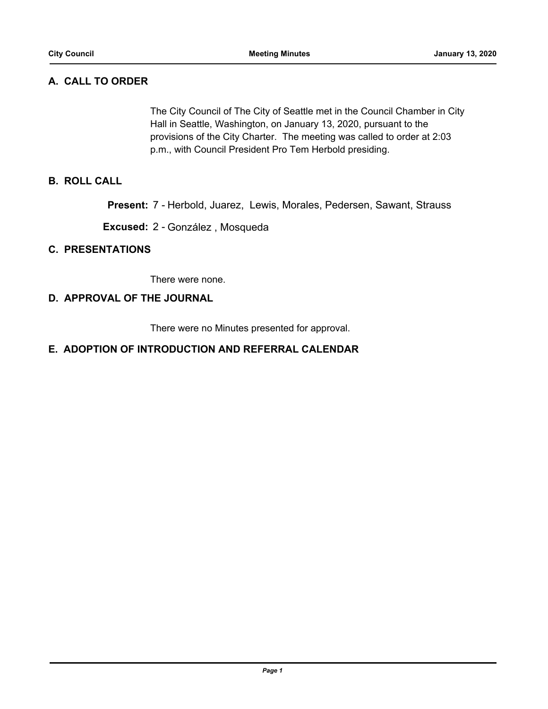## **A. CALL TO ORDER**

The City Council of The City of Seattle met in the Council Chamber in City Hall in Seattle, Washington, on January 13, 2020, pursuant to the provisions of the City Charter. The meeting was called to order at 2:03 p.m., with Council President Pro Tem Herbold presiding.

## **B. ROLL CALL**

**Present:** 7 - Herbold, Juarez, Lewis, Morales, Pedersen, Sawant, Strauss

**Excused:** 2 - González , Mosqueda

#### **C. PRESENTATIONS**

There were none.

#### **D. APPROVAL OF THE JOURNAL**

There were no Minutes presented for approval.

## **E. ADOPTION OF INTRODUCTION AND REFERRAL CALENDAR**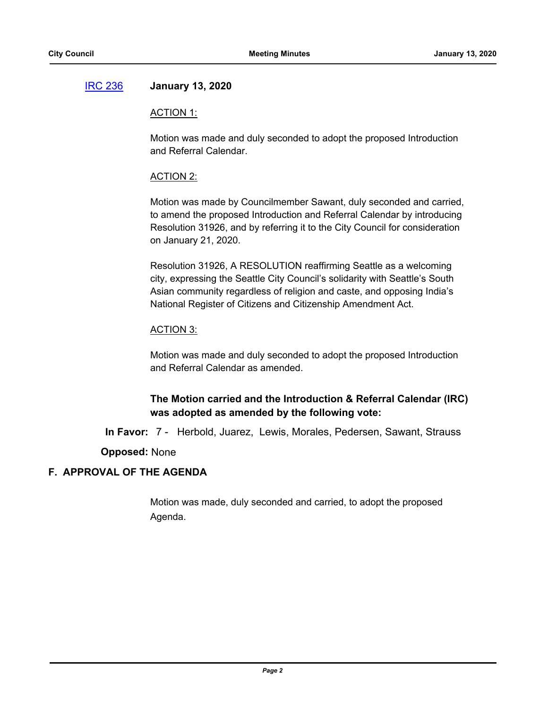## [IRC 236](http://seattle.legistar.com/gateway.aspx?m=l&id=/matter.aspx?key=9923) **January 13, 2020**

#### ACTION 1:

Motion was made and duly seconded to adopt the proposed Introduction and Referral Calendar.

#### ACTION 2:

Motion was made by Councilmember Sawant, duly seconded and carried, to amend the proposed Introduction and Referral Calendar by introducing Resolution 31926, and by referring it to the City Council for consideration on January 21, 2020.

Resolution 31926, A RESOLUTION reaffirming Seattle as a welcoming city, expressing the Seattle City Council's solidarity with Seattle's South Asian community regardless of religion and caste, and opposing India's National Register of Citizens and Citizenship Amendment Act.

#### ACTION 3:

Motion was made and duly seconded to adopt the proposed Introduction and Referral Calendar as amended.

## **The Motion carried and the Introduction & Referral Calendar (IRC) was adopted as amended by the following vote:**

**In Favor:** 7 - Herbold, Juarez, Lewis, Morales, Pedersen, Sawant, Strauss

**Opposed:** None

## **F. APPROVAL OF THE AGENDA**

Motion was made, duly seconded and carried, to adopt the proposed Agenda.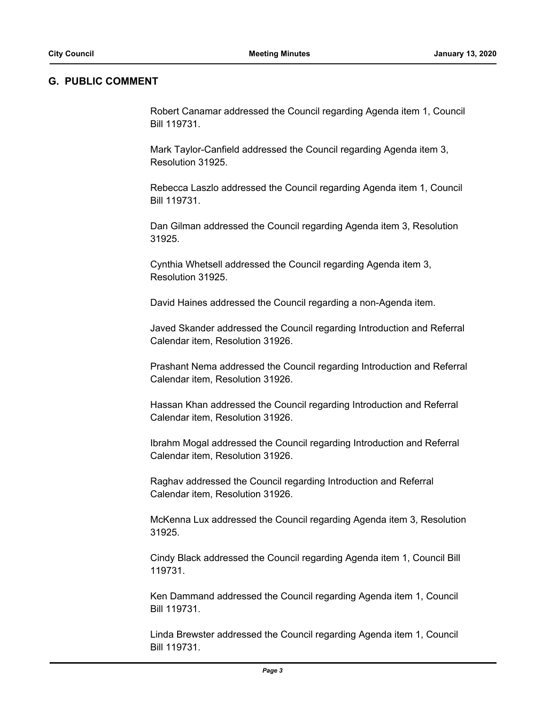#### **G. PUBLIC COMMENT**

Robert Canamar addressed the Council regarding Agenda item 1, Council Bill 119731.

Mark Taylor-Canfield addressed the Council regarding Agenda item 3, Resolution 31925.

Rebecca Laszlo addressed the Council regarding Agenda item 1, Council Bill 119731.

Dan Gilman addressed the Council regarding Agenda item 3, Resolution 31925.

Cynthia Whetsell addressed the Council regarding Agenda item 3, Resolution 31925.

David Haines addressed the Council regarding a non-Agenda item.

Javed Skander addressed the Council regarding Introduction and Referral Calendar item, Resolution 31926.

Prashant Nema addressed the Council regarding Introduction and Referral Calendar item, Resolution 31926.

Hassan Khan addressed the Council regarding Introduction and Referral Calendar item, Resolution 31926.

Ibrahm Mogal addressed the Council regarding Introduction and Referral Calendar item, Resolution 31926.

Raghav addressed the Council regarding Introduction and Referral Calendar item, Resolution 31926.

McKenna Lux addressed the Council regarding Agenda item 3, Resolution 31925.

Cindy Black addressed the Council regarding Agenda item 1, Council Bill 119731.

Ken Dammand addressed the Council regarding Agenda item 1, Council Bill 119731.

Linda Brewster addressed the Council regarding Agenda item 1, Council Bill 119731.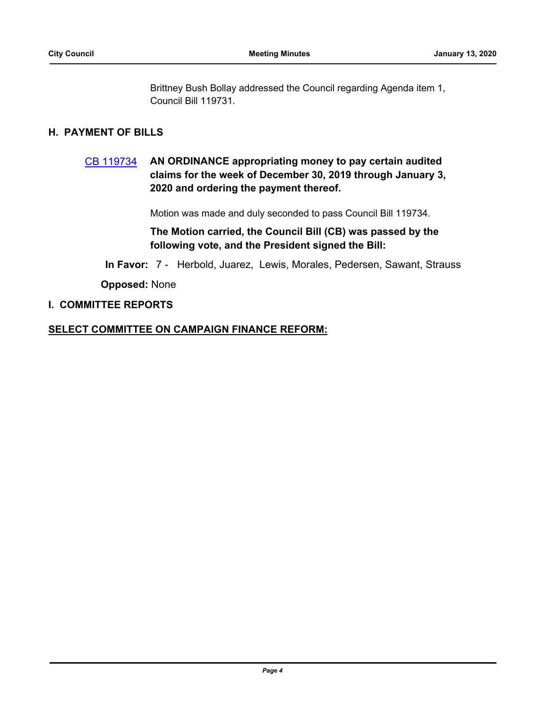Brittney Bush Bollay addressed the Council regarding Agenda item 1, Council Bill 119731.

#### **H. PAYMENT OF BILLS**

## [CB 119734](http://seattle.legistar.com/gateway.aspx?m=l&id=/matter.aspx?key=9919) **AN ORDINANCE appropriating money to pay certain audited claims for the week of December 30, 2019 through January 3, 2020 and ordering the payment thereof.**

Motion was made and duly seconded to pass Council Bill 119734.

**The Motion carried, the Council Bill (CB) was passed by the following vote, and the President signed the Bill:**

**In Favor:** 7 - Herbold, Juarez, Lewis, Morales, Pedersen, Sawant, Strauss

**Opposed:** None

#### **I. COMMITTEE REPORTS**

#### **SELECT COMMITTEE ON CAMPAIGN FINANCE REFORM:**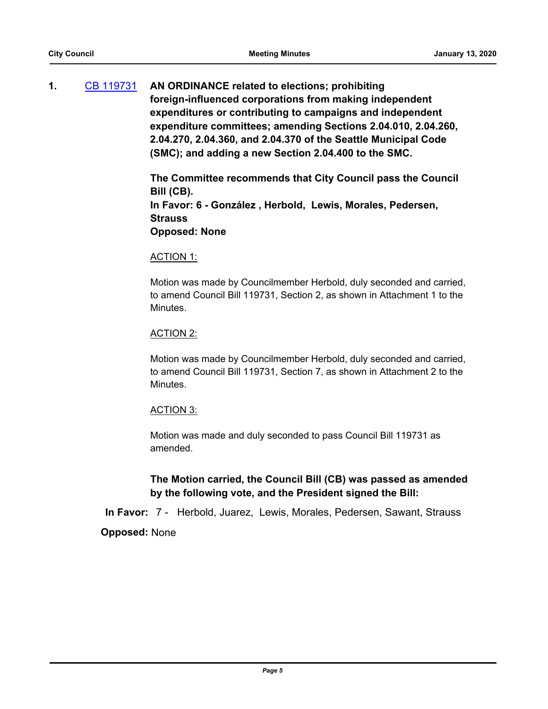**1.** [CB 119731](http://seattle.legistar.com/gateway.aspx?m=l&id=/matter.aspx?key=9899) **AN ORDINANCE related to elections; prohibiting foreign-influenced corporations from making independent expenditures or contributing to campaigns and independent expenditure committees; amending Sections 2.04.010, 2.04.260, 2.04.270, 2.04.360, and 2.04.370 of the Seattle Municipal Code (SMC); and adding a new Section 2.04.400 to the SMC.**

> **The Committee recommends that City Council pass the Council Bill (CB). In Favor: 6 - González , Herbold, Lewis, Morales, Pedersen, Strauss Opposed: None**

#### ACTION 1:

Motion was made by Councilmember Herbold, duly seconded and carried, to amend Council Bill 119731, Section 2, as shown in Attachment 1 to the Minutes.

#### ACTION 2:

Motion was made by Councilmember Herbold, duly seconded and carried, to amend Council Bill 119731, Section 7, as shown in Attachment 2 to the Minutes.

#### ACTION 3:

Motion was made and duly seconded to pass Council Bill 119731 as amended.

## **The Motion carried, the Council Bill (CB) was passed as amended by the following vote, and the President signed the Bill:**

**In Favor:** 7 - Herbold, Juarez, Lewis, Morales, Pedersen, Sawant, Strauss

**Opposed:** None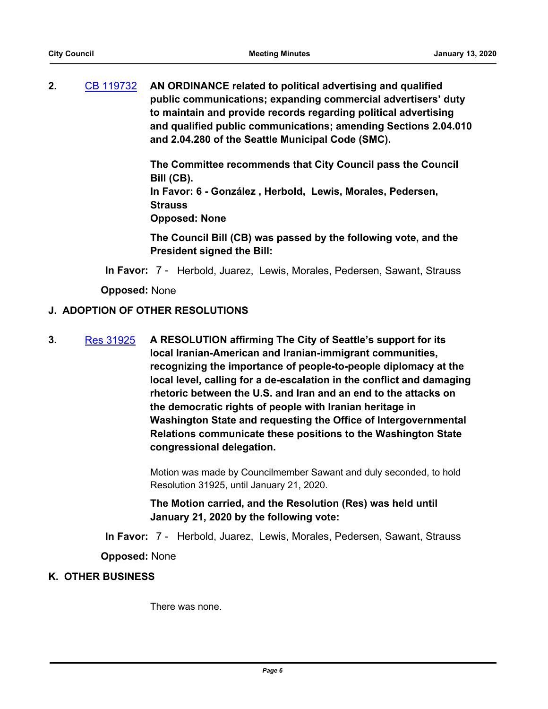**2.** [CB 119732](http://seattle.legistar.com/gateway.aspx?m=l&id=/matter.aspx?key=9900) **AN ORDINANCE related to political advertising and qualified public communications; expanding commercial advertisers' duty to maintain and provide records regarding political advertising and qualified public communications; amending Sections 2.04.010 and 2.04.280 of the Seattle Municipal Code (SMC).**

> **The Committee recommends that City Council pass the Council Bill (CB).**

**In Favor: 6 - González , Herbold, Lewis, Morales, Pedersen, Strauss**

**Opposed: None**

**The Council Bill (CB) was passed by the following vote, and the President signed the Bill:**

**In Favor:** 7 - Herbold, Juarez, Lewis, Morales, Pedersen, Sawant, Strauss

**Opposed:** None

## **J. ADOPTION OF OTHER RESOLUTIONS**

**3.** [Res 31925](http://seattle.legistar.com/gateway.aspx?m=l&id=/matter.aspx?key=9920) **A RESOLUTION affirming The City of Seattle's support for its local Iranian-American and Iranian-immigrant communities, recognizing the importance of people-to-people diplomacy at the local level, calling for a de-escalation in the conflict and damaging rhetoric between the U.S. and Iran and an end to the attacks on the democratic rights of people with Iranian heritage in Washington State and requesting the Office of Intergovernmental Relations communicate these positions to the Washington State congressional delegation.**

> Motion was made by Councilmember Sawant and duly seconded, to hold Resolution 31925, until January 21, 2020.

**The Motion carried, and the Resolution (Res) was held until January 21, 2020 by the following vote:**

**In Favor:** 7 - Herbold, Juarez, Lewis, Morales, Pedersen, Sawant, Strauss

**Opposed:** None

## **K. OTHER BUSINESS**

There was none.